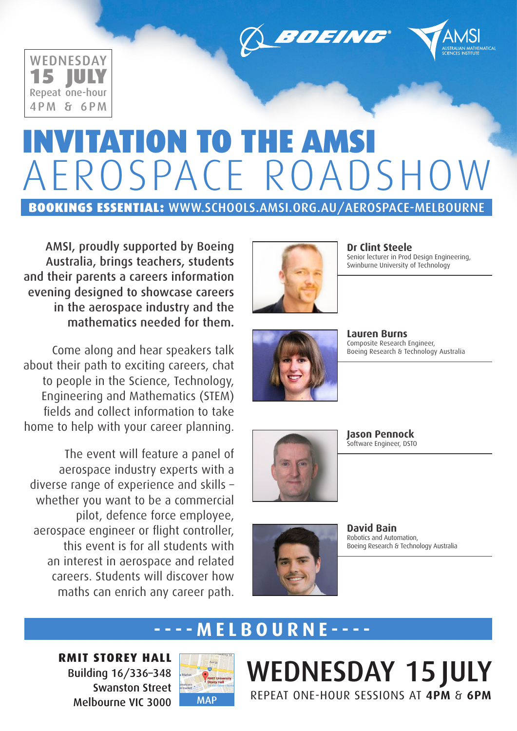



# AEROSPACE ROADSHOW INVITATION TO THE AMSI

BOOKINGS ESSENTIAL: WWW.SCHOOLS.AMSI.ORG.AU/AEROSPACE-MELBOURNE

AMSI, proudly supported by Boeing Australia, brings teachers, students and their parents a careers information evening designed to showcase careers in the aerospace industry and the mathematics needed for them.

Come along and hear speakers talk about their path to exciting careers, chat to people in the Science, Technology, Engineering and Mathematics (STEM) fields and collect information to take home to help with your career planning.

The event will feature a panel of aerospace industry experts with a diverse range of experience and skills – whether you want to be a commercial pilot, defence force employee, aerospace engineer or flight controller, this event is for all students with an interest in aerospace and related careers. Students will discover how maths can enrich any career path.



**Dr Clint Steele** Senior lecturer in Prod Design Engineering, Swinburne University of Technology



**Lauren Burns** Composite Research Engineer, Boeing Research & Technology Australia



**Jason Pennock** Software Engineer, DSTO

WEDNESDAY 15 JULY

REPEAT ONE-HOUR SESSIONS AT **4PM** & **6PM**



**David Bain**  Robotics and Automation, Boeing Research & Technology Australia

### **----MELBOURNE----**

**RMIT STOREY HALL** Building 16/336–348 Swanston Street Melbourne VIC 3000